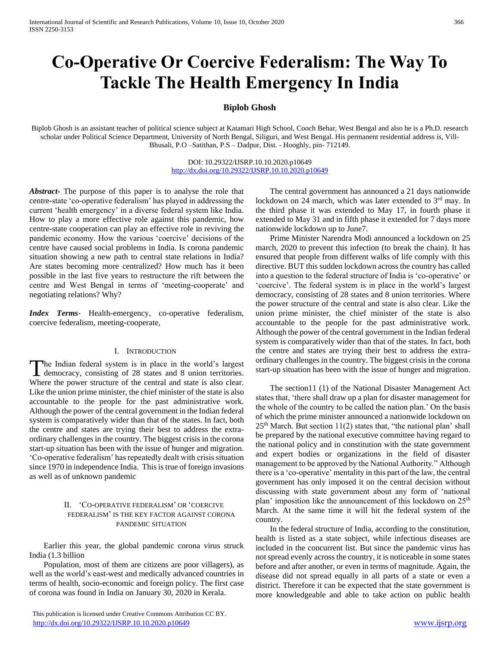# **Co-Operative Or Coercive Federalism: The Way To Tackle The Health Emergency In India**

# **Biplob Ghosh**

Biplob Ghosh is an assistant teacher of political science subject at Katamari High School, Cooch Behar, West Bengal and also he is a Ph.D. research scholar under Political Science Department, University of North Bengal, Siliguri, and West Bengal. His permanent residential address is, Vill-Bhusali, P.O –Satithan, P.S – Dadpur, Dist. - Hooghly, pin- 712149.

> DOI: 10.29322/IJSRP.10.10.2020.p10649 <http://dx.doi.org/10.29322/IJSRP.10.10.2020.p10649>

*Abstract***-** The purpose of this paper is to analyse the role that centre-state 'co-operative federalism' has played in addressing the current 'health emergency' in a diverse federal system like India. How to play a more effective role against this pandemic, how centre-state cooperation can play an effective role in reviving the pandemic economy. How the various 'coercive' decisions of the centre have caused social problems in India. Is corona pandemic situation showing a new path to central state relations in India? Are states becoming more centralized? How much has it been possible in the last five years to restructure the rift between the centre and West Bengal in terms of 'meeting-cooperate' and negotiating relations? Why?

*Index Terms*- Health-emergency, co-operative federalism, coercive federalism, meeting-cooperate,

# I. INTRODUCTION

he Indian federal system is in place in the world's largest The Indian federal system is in place in the world's largest<br>democracy, consisting of 28 states and 8 union territories. Where the power structure of the central and state is also clear. Like the union prime minister, the chief minister of the state is also accountable to the people for the past administrative work. Although the power of the central government in the Indian federal system is comparatively wider than that of the states. In fact, both the centre and states are trying their best to address the extraordinary challenges in the country. The biggest crisis in the corona start-up situation has been with the issue of hunger and migration. 'Co-operative federalism' has repeatedly dealt with crisis situation since 1970 in independence India. This is true of foreign invasions as well as of unknown pandemic

# II. 'CO-OPERATIVE FEDERALISM' OR 'COERCIVE FEDERALISM' IS THE KEY FACTOR AGAINST CORONA PANDEMIC SITUATION

 Earlier this year, the global pandemic corona virus struck India (1.3 billion

 Population, most of them are citizens are poor villagers), as well as the world's east-west and medically advanced countries in terms of health, socio-economic and foreign policy. The first case of corona was found in India on January 30, 2020 in Kerala.

 The central government has announced a 21 days nationwide lockdown on 24 march, which was later extended to 3<sup>rd</sup> may. In the third phase it was extended to May 17, in fourth phase it extended to May 31 and in fifth phase it extended for 7 days more nationwide lockdown up to June7.

 Prime Minister Narendra Modi announced a lockdown on 25 march, 2020 to prevent this infection (to break the chain). It has ensured that people from different walks of life comply with this directive. BUT this sudden lockdown across the country has called into a question to the federal structure of India is 'co-operative' or 'coercive'. The federal system is in place in the world's largest democracy, consisting of 28 states and 8 union territories. Where the power structure of the central and state is also clear. Like the union prime minister, the chief minister of the state is also accountable to the people for the past administrative work. Although the power of the central government in the Indian federal system is comparatively wider than that of the states. In fact, both the centre and states are trying their best to address the extraordinary challenges in the country. The biggest crisis in the corona start-up situation has been with the issue of hunger and migration.

 The section11 (1) of the National Disaster Management Act states that, 'there shall draw up a plan for disaster management for the whole of the country to be called the nation plan.' On the basis of which the prime minister announced a nationwide lockdown on  $25<sup>th</sup>$  March. But section 11(2) states that, "the national plan' shall be prepared by the national executive committee having regard to the national policy and in constitution with the state government and expert bodies or organizations in the field of disaster management to be approved by the National Authority." Although there is a 'co-operative' mentality in this part of the law, the central government has only imposed it on the central decision without discussing with state government about any form of 'national plan' imposition like the announcement of this lockdown on 25<sup>th</sup> March. At the same time it will hit the federal system of the country.

 In the federal structure of India, according to the constitution, health is listed as a state subject, while infectious diseases are included in the concurrent list. But since the pandemic virus has not spread evenly across the country, it is noticeable in some states before and after another, or even in terms of magnitude. Again, the disease did not spread equally in all parts of a state or even a district. Therefore it can be expected that the state government is more knowledgeable and able to take action on public health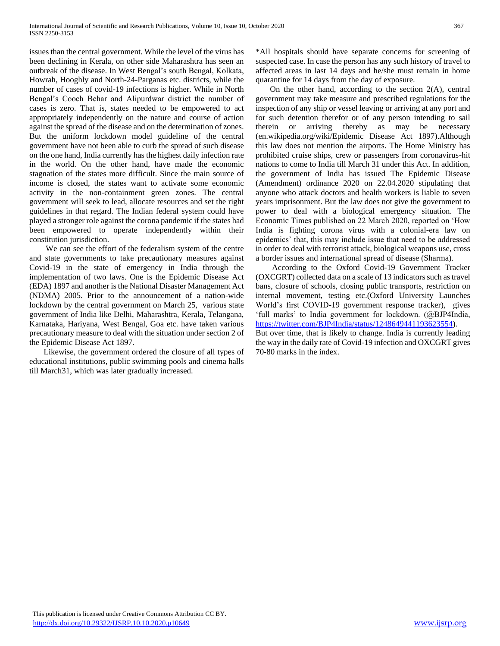issues than the central government. While the level of the virus has been declining in Kerala, on other side Maharashtra has seen an outbreak of the disease. In West Bengal's south Bengal, Kolkata, Howrah, Hooghly and North-24-Parganas etc. districts, while the number of cases of covid-19 infections is higher. While in North Bengal's Cooch Behar and Alipurdwar district the number of cases is zero. That is, states needed to be empowered to act appropriately independently on the nature and course of action against the spread of the disease and on the determination of zones. But the uniform lockdown model guideline of the central government have not been able to curb the spread of such disease on the one hand, India currently has the highest daily infection rate in the world. On the other hand, have made the economic stagnation of the states more difficult. Since the main source of income is closed, the states want to activate some economic activity in the non-containment green zones. The central government will seek to lead, allocate resources and set the right guidelines in that regard. The Indian federal system could have played a stronger role against the corona pandemic if the states had been empowered to operate independently within their constitution jurisdiction.

 We can see the effort of the federalism system of the centre and state governments to take precautionary measures against Covid-19 in the state of emergency in India through the implementation of two laws. One is the Epidemic Disease Act (EDA) 1897 and another is the National Disaster Management Act (NDMA) 2005. Prior to the announcement of a nation-wide lockdown by the central government on March 25, various state government of India like Delhi, Maharashtra, Kerala, Telangana, Karnataka, Hariyana, West Bengal, Goa etc. have taken various precautionary measure to deal with the situation under section 2 of the Epidemic Disease Act 1897.

 Likewise, the government ordered the closure of all types of educational institutions, public swimming pools and cinema halls till March31, which was later gradually increased.

\*All hospitals should have separate concerns for screening of suspected case. In case the person has any such history of travel to affected areas in last 14 days and he/she must remain in home quarantine for 14 days from the day of exposure.

 On the other hand, according to the section 2(A), central government may take measure and prescribed regulations for the inspection of any ship or vessel leaving or arriving at any port and for such detention therefor or of any person intending to sail therein or arriving thereby as may be necessary (en.wikipedia.org/wiki/Epidemic Disease Act 1897).Although this law does not mention the airports. The Home Ministry has prohibited cruise ships, crew or passengers from coronavirus-hit nations to come to India till March 31 under this Act. In addition, the government of India has issued The Epidemic Disease (Amendment) ordinance 2020 on 22.04.2020 stipulating that anyone who attack doctors and health workers is liable to seven years imprisonment. But the law does not give the government to power to deal with a biological emergency situation. The Economic Times published on 22 March 2020, reported on 'How India is fighting corona virus with a colonial-era law on epidemics' that, this may include issue that need to be addressed in order to deal with terrorist attack, biological weapons use, cross a border issues and international spread of disease (Sharma).

 According to the Oxford Covid-19 Government Tracker (OXCGRT) collected data on a scale of 13 indicators such as travel bans, closure of schools, closing public transports, restriction on internal movement, testing etc.(Oxford University Launches World's first COVID-19 government response tracker), gives 'full marks' to India government for lockdown. (@BJP4India, [https://twitter.com/BJP4India/status/1248649441193623554\)](https://twitter.com/BJP4India/status/1248649441193623554). But over time, that is likely to change. India is currently leading

the way in the daily rate of Covid-19 infection and OXCGRT gives 70-80 marks in the index.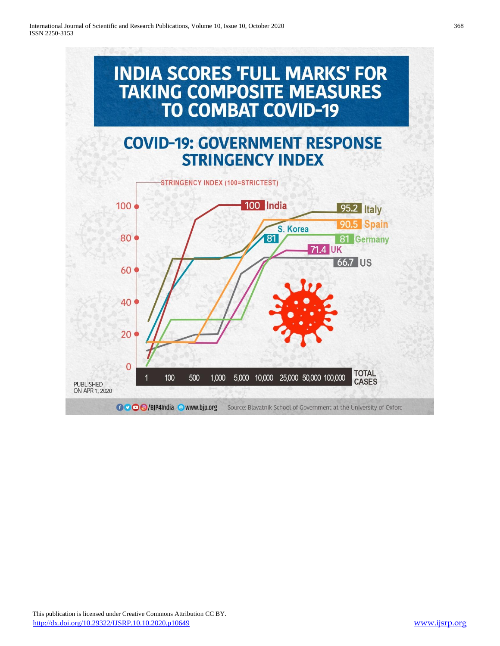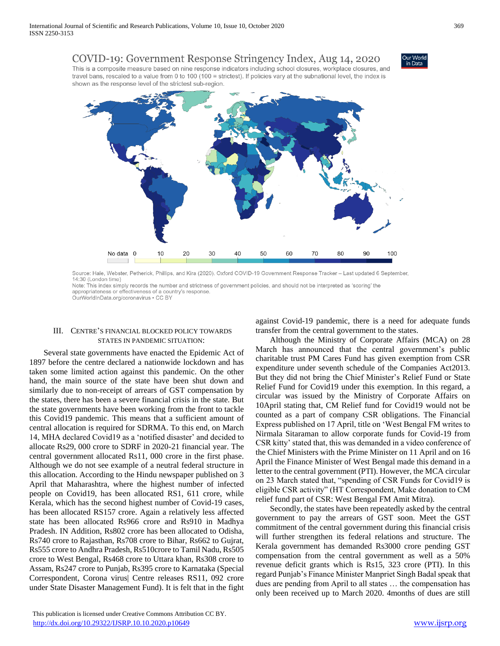# COVID-19: Government Response Stringency Index, Aug 14, 2020

This is a composite measure based on nine response indicators including school closures, workplace closures, and travel bans, rescaled to a value from 0 to 100 (100 = strictest). If policies vary at the subnational level, the index is shown as the response level of the strictest sub-region.



Source: Hale, Webster, Petherick, Phillips, and Kira (2020). Oxford COVID-19 Government Response Tracker - Last updated 6 September, 14:30 (London time)

Note: This index simply records the number and strictness of government policies, and should not be interpreted as 'scoring' the appropriateness or effectiveness of a country's response.

OurWorldInData.org/coronavirus . CC BY

# III. CENTRE'S FINANCIAL BLOCKED POLICY TOWARDS STATES IN PANDEMIC SITUATION:

 Several state governments have enacted the Epidemic Act of 1897 before the centre declared a nationwide lockdown and has taken some limited action against this pandemic. On the other hand, the main source of the state have been shut down and similarly due to non-receipt of arrears of GST compensation by the states, there has been a severe financial crisis in the state. But the state governments have been working from the front to tackle this Covid19 pandemic. This means that a sufficient amount of central allocation is required for SDRMA. To this end, on March 14, MHA declared Covid19 as a 'notified disaster' and decided to allocate Rs29, 000 crore to SDRF in 2020-21 financial year. The central government allocated Rs11, 000 crore in the first phase. Although we do not see example of a neutral federal structure in this allocation. According to the Hindu newspaper published on 3 April that Maharashtra, where the highest number of infected people on Covid19, has been allocated RS1, 611 crore, while Kerala, which has the second highest number of Covid-19 cases, has been allocated RS157 crore. Again a relatively less affected state has been allocated Rs966 crore and Rs910 in Madhya Pradesh. IN Addition, Rs802 crore has been allocated to Odisha, Rs740 crore to Rajasthan, Rs708 crore to Bihar, Rs662 to Gujrat, Rs555 crore to Andhra Pradesh, Rs510crore to Tamil Nadu, Rs505 crore to West Bengal, Rs468 crore to Uttara khan, Rs308 crore to Assam, Rs247 crore to Punjab, Rs395 crore to Karnataka (Special Correspondent, Corona virus| Centre releases RS11, 092 crore under State Disaster Management Fund). It is felt that in the fight

against Covid-19 pandemic, there is a need for adequate funds transfer from the central government to the states.

 Although the Ministry of Corporate Affairs (MCA) on 28 March has announced that the central government's public charitable trust PM Cares Fund has given exemption from CSR expenditure under seventh schedule of the Companies Act2013. But they did not bring the Chief Minister's Relief Fund or State Relief Fund for Covid19 under this exemption. In this regard, a circular was issued by the Ministry of Corporate Affairs on 10April stating that, CM Relief fund for Covid19 would not be counted as a part of company CSR obligations. The Financial Express published on 17 April, title on 'West Bengal FM writes to Nirmala Sitaraman to allow corporate funds for Covid-19 from CSR kitty' stated that, this was demanded in a video conference of the Chief Ministers with the Prime Minister on 11 April and on 16 April the Finance Minister of West Bengal made this demand in a letter to the central government (PTI). However, the MCA circular on 23 March stated that, "spending of CSR Funds for Covid19 is eligible CSR activity" (HT Correspondent, Make donation to CM relief fund part of CSR: West Bengal FM Amit Mitra).

 Secondly, the states have been repeatedly asked by the central government to pay the arrears of GST soon. Meet the GST commitment of the central government during this financial crisis will further strengthen its federal relations and structure. The Kerala government has demanded Rs3000 crore pending GST compensation from the central government as well as a 50% revenue deficit grants which is Rs15, 323 crore (PTI). In this regard Punjab's Finance Minister Manpriet Singh Badal speak that dues are pending from April to all states … the compensation has only been received up to March 2020. 4months of dues are still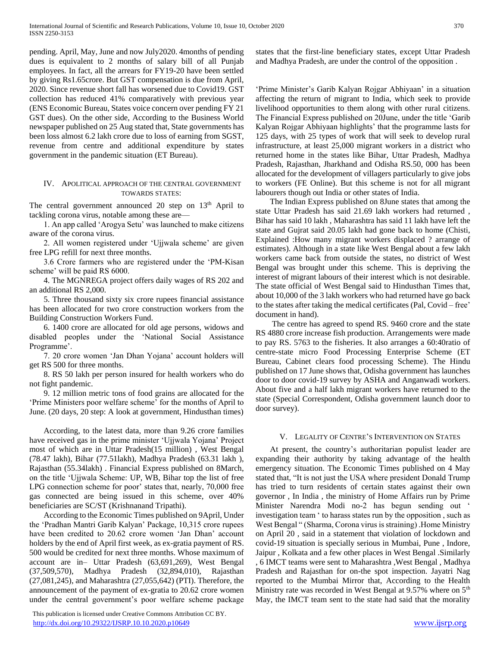pending. April, May, June and now July2020. 4months of pending dues is equivalent to 2 months of salary bill of all Punjab employees. In fact, all the arrears for FY19-20 have been settled by giving Rs1.65crore. But GST compensation is due from April, 2020. Since revenue short fall has worsened due to Covid19. GST collection has reduced 41% comparatively with previous year (ENS Economic Bureau, States voice concern over pending FY 21 GST dues). On the other side, According to the Business World newspaper published on 25 Aug stated that, State governments has been loss almost 6.2 lakh crore due to loss of earning from SGST, revenue from centre and additional expenditure by states government in the pandemic situation (ET Bureau).

## IV. APOLITICAL APPROACH OF THE CENTRAL GOVERNMENT TOWARDS STATES:

The central government announced 20 step on 13<sup>th</sup> April to tackling corona virus, notable among these are—

 1. An app called 'Arogya Setu' was launched to make citizens aware of the corona virus.

 2. All women registered under 'Ujjwala scheme' are given free LPG refill for next three months.

 3.6 Crore farmers who are registered under the 'PM-Kisan scheme' will be paid RS 6000.

 4. The MGNREGA project offers daily wages of RS 202 and an additional RS 2,000.

 5. Three thousand sixty six crore rupees financial assistance has been allocated for two crore construction workers from the Building Construction Workers Fund.

 6. 1400 crore are allocated for old age persons, widows and disabled peoples under the 'National Social Assistance Programme'.

 7. 20 crore women 'Jan Dhan Yojana' account holders will get RS 500 for three months.

 8. RS 50 lakh per person insured for health workers who do not fight pandemic.

 9. 12 million metric tons of food grains are allocated for the 'Prime Ministers poor welfare scheme' for the months of April to June. (20 days, 20 step: A look at government, Hindusthan times)

 According, to the latest data, more than 9.26 crore families have received gas in the prime minister 'Ujjwala Yojana' Project most of which are in Uttar Pradesh(15 million) , West Bengal (78.47 lakh), Bihar (77.51lakh), Madhya Pradesh (63.31 lakh ), Rajasthan (55.34lakh) . Financial Express published on 8March, on the title 'Ujjwala Scheme: UP, WB, Bihar top the list of free LPG connection scheme for poor' states that, nearly, 70,000 free gas connected are being issued in this scheme, over 40% beneficiaries are SC/ST (Krishnanand Tripathi).

 According to the Economic Times published on 9April, Under the 'Pradhan Mantri Garib Kalyan' Package, 10,315 crore rupees have been credited to 20.62 crore women 'Jan Dhan' account holders by the end of April first week, as ex-gratia payment of RS. 500 would be credited for next three months. Whose maximum of account are in– Uttar Pradesh (63,691,269), West Bengal (37,509,570), Madhya Pradesh (32,894,010), Rajasthan (27,081,245), and Maharashtra (27,055,642) (PTI). Therefore, the announcement of the payment of ex-gratia to 20.62 crore women under the central government's poor welfare scheme package

 This publication is licensed under Creative Commons Attribution CC BY. <http://dx.doi.org/10.29322/IJSRP.10.10.2020.p10649> [www.ijsrp.org](http://ijsrp.org/)

states that the first-line beneficiary states, except Uttar Pradesh and Madhya Pradesh, are under the control of the opposition .

'Prime Minister's Garib Kalyan Rojgar Abhiyaan' in a situation affecting the return of migrant to India, which seek to provide livelihood opportunities to them along with other rural citizens. The Financial Express published on 20June, under the title 'Garib Kalyan Rojgar Abhiyaan highlights' that the programme lasts for 125 days, with 25 types of work that will seek to develop rural infrastructure, at least 25,000 migrant workers in a district who returned home in the states like Bihar, Uttar Pradesh, Madhya Pradesh, Rajasthan, Jharkhand and Odisha RS.50, 000 has been allocated for the development of villagers particularly to give jobs to workers (FE Online). But this scheme is not for all migrant labourers though out India or other states of India.

 The Indian Express published on 8June states that among the state Uttar Pradesh has said 21.69 lakh workers had returned , Bihar has said 10 lakh , Maharashtra has said 11 lakh have left the state and Gujrat said 20.05 lakh had gone back to home (Chisti, Explained :How many migrant workers displaced ? arrange of estimates). Although in a state like West Bengal about a few lakh workers came back from outside the states, no district of West Bengal was brought under this scheme. This is depriving the interest of migrant labours of their interest which is not desirable. The state official of West Bengal said to Hindusthan Times that, about 10,000 of the 3 lakh workers who had returned have go back to the states after taking the medical certificates (Pal, Covid – free' document in hand).

 The centre has agreed to spend RS. 9460 crore and the state RS 4880 crore increase fish production. Arrangements were made to pay RS. 5763 to the fisheries. It also arranges a 60:40ratio of centre-state micro Food Processing Enterprise Scheme (ET Bureau, Cabinet clears food processing Scheme). The Hindu published on 17 June shows that, Odisha government has launches door to door covid-19 survey by ASHA and Anganwadi workers. About five and a half lakh migrant workers have returned to the state (Special Correspondent, Odisha government launch door to door survey).

#### V. LEGALITY OF CENTRE'S INTERVENTION ON STATES

 At present, the country's authoritarian populist leader are expanding their authority by taking advantage of the health emergency situation. The Economic Times published on 4 May stated that, "It is not just the USA where president Donald Trump has tried to turn residents of certain states against their own governor , In India , the ministry of Home Affairs run by Prime Minister Narendra Modi no-2 has begun sending out ' investigation team ' to harass states run by the opposition , such as West Bengal " (Sharma, Corona virus is straining) .Home Ministry on April 20 , said in a statement that violation of lockdown and covid-19 situation is specially serious in Mumbai, Pune , Indore, Jaipur , Kolkata and a few other places in West Bengal .Similarly , 6 IMCT teams were sent to Maharashtra ,West Bengal , Madhya Pradesh and Rajasthan for on-the spot inspection. Jayatri Nag reported to the Mumbai Mirror that, According to the Health Ministry rate was recorded in West Bengal at 9.57% where on 5<sup>th</sup> May, the IMCT team sent to the state had said that the morality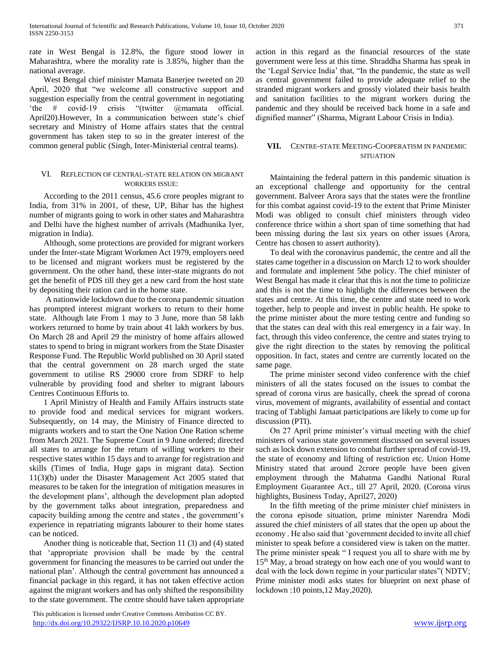rate in West Bengal is 12.8%, the figure stood lower in Maharashtra, where the morality rate is 3.85%, higher than the national average.

 West Bengal chief minister Mamata Banerjee tweeted on 20 April, 2020 that "we welcome all constructive support and suggestion especially from the central government in negotiating 'the # covid-19 crisis "(twitter @mamata official. April20).However, In a communication between state's chief secretary and Ministry of Home affairs states that the central government has taken step to so in the greater interest of the common general public (Singh, Inter-Ministerial central teams).

## VI. REFLECTION OF CENTRAL-STATE RELATION ON MIGRANT WORKERS ISSUE:

 According to the 2011 census, 45.6 crore peoples migrant to India, from 31% in 2001, of these, UP, Bihar has the highest number of migrants going to work in other states and Maharashtra and Delhi have the highest number of arrivals (Madhunika Iyer, migration in India).

 Although, some protections are provided for migrant workers under the Inter-state Migrant Workmen Act 1979, employers need to be licensed and migrant workers must be registered by the government. On the other hand, these inter-state migrants do not get the benefit of PDS till they get a new card from the host state by depositing their ration card in the home state.

 A nationwide lockdown due to the corona pandemic situation has prompted interest migrant workers to return to their home state. Although late From 1 may to 3 June, more than 58 lakh workers returned to home by train about 41 lakh workers by bus. On March 28 and April 29 the ministry of home affairs allowed states to spend to bring in migrant workers from the State Disaster Response Fund. The Republic World published on 30 April stated that the central government on 28 march urged the state government to utilise RS 29000 crore from SDRF to help vulnerable by providing food and shelter to migrant labours Centres Continuous Efforts to.

 1 April Ministry of Health and Family Affairs instructs state to provide food and medical services for migrant workers. Subsequently, on 14 may, the Ministry of Finance directed to migrants workers and to start the One Nation One Ration scheme from March 2021. The Supreme Court in 9 June ordered; directed all states to arrange for the return of willing workers to their respective states within 15 days and to arrange for registration and skills (Times of India, Huge gaps in migrant data). Section 11(3)(b) under the Disaster Management Act 2005 stated that measures to be taken for the integration of mitigation measures in the development plans', although the development plan adopted by the government talks about integration, preparedness and capacity building among the centre and states , the government's experience in repatriating migrants labourer to their home states can be noticed.

 Another thing is noticeable that, Section 11 (3) and (4) stated that 'appropriate provision shall be made by the central government for financing the measures to be carried out under the national plan'. Although the central government has announced a financial package in this regard, it has not taken effective action against the migrant workers and has only shifted the responsibility to the state government. The centre should have taken appropriate

 This publication is licensed under Creative Commons Attribution CC BY. <http://dx.doi.org/10.29322/IJSRP.10.10.2020.p10649> [www.ijsrp.org](http://ijsrp.org/)

action in this regard as the financial resources of the state government were less at this time. Shraddha Sharma has speak in the 'Legal Service India' that, "In the pandemic, the state as well as central government failed to provide adequate relief to the stranded migrant workers and grossly violated their basis health and sanitation facilities to the migrant workers during the pandemic and they should be received back home in a safe and dignified manner" (Sharma, Migrant Labour Crisis in India).

# **VII.** CENTRE-STATE MEETING-COOPERATISM IN PANDEMIC **SITUATION**

 Maintaining the federal pattern in this pandemic situation is an exceptional challenge and opportunity for the central government. Balveer Arora says that the states were the frontline for this combat against covid-19 to the extent that Prime Minister Modi was obliged to consult chief ministers through video conference thrice within a short span of time something that had been missing during the last six years on other issues (Arora, Centre has chosen to assert authority).

 To deal with the coronavirus pandemic, the centre and all the states came together in a discussion on March 12 to work shoulder and formulate and implement 5the policy. The chief minister of West Bengal has made it clear that this is not the time to politicize and this is not the time to highlight the differences between the states and centre. At this time, the centre and state need to work together, help to people and invest in public health. He spoke to the prime minister about the more testing centre and funding so that the states can deal with this real emergency in a fair way. In fact, through this video conference, the centre and states trying to give the right direction to the states by removing the political opposition. In fact, states and centre are currently located on the same page.

 The prime minister second video conference with the chief ministers of all the states focused on the issues to combat the spread of corona virus are basically, cheek the spread of corona virus, movement of migrants, availability of essential and contact tracing of Tablighi Jamaat participations are likely to come up for discussion (PTI).

 On 27 April prime minister's virtual meeting with the chief ministers of various state government discussed on several issues such as lock down extension to combat further spread of covid-19, the state of economy and lifting of restriction etc. Union Home Ministry stated that around 2crore people have been given employment through the Mahatma Gandhi National Rural Employment Guarantee Act., till 27 April, 2020. (Corona virus highlights, Business Today, April27, 2020)

 In the fifth meeting of the prime minister chief ministers in the corona episode situation, prime minister Narendra Modi assured the chief ministers of all states that the open up about the economy . He also said that 'government decided to invite all chief minister to speak before a considered view is taken on the matter. The prime minister speak " I request you all to share with me by 15<sup>th</sup> May, a broad strategy on how each one of you would want to deal with the lock down regime in your particular states"( NDTV; Prime minister modi asks states for blueprint on next phase of lockdown :10 points,12 May,2020).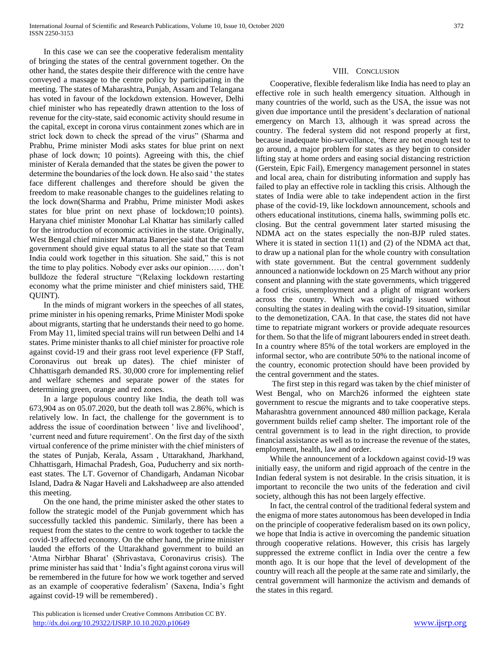In this case we can see the cooperative federalism mentality of bringing the states of the central government together. On the other hand, the states despite their difference with the centre have conveyed a massage to the centre policy by participating in the meeting. The states of Maharashtra, Punjab, Assam and Telangana has voted in favour of the lockdown extension. However, Delhi chief minister who has repeatedly drawn attention to the loss of revenue for the city-state, said economic activity should resume in the capital, except in corona virus containment zones which are in strict lock down to check the spread of the virus" (Sharma and Prabhu, Prime minister Modi asks states for blue print on next phase of lock down; 10 points). Agreeing with this, the chief minister of Kerala demanded that the states be given the power to determine the boundaries of the lock down. He also said ' the states face different challenges and therefore should be given the freedom to make reasonable changes to the guidelines relating to the lock down(Sharma and Prabhu, Prime minister Modi askes states for blue print on next phase of lockdown;10 points). Haryana chief minister Monohar Lal Khattar has similarly called for the introduction of economic activities in the state. Originally, West Bengal chief minister Mamata Banerjee said that the central government should give equal status to all the state so that Team India could work together in this situation. She said," this is not the time to play politics. Nobody ever asks our opinion…… don't bulldoze the federal structure "(Relaxing lockdown restarting economy what the prime minister and chief ministers said, THE QUINT).

 In the minds of migrant workers in the speeches of all states, prime minister in his opening remarks, Prime Minister Modi spoke about migrants, starting that he understands their need to go home. From May 11, limited special trains will run between Delhi and 14 states. Prime minister thanks to all chief minister for proactive role against covid-19 and their grass root level experience (FP Staff, Coronavirus out break up dates). The chief minister of Chhattisgarh demanded RS. 30,000 crore for implementing relief and welfare schemes and separate power of the states for determining green, orange and red zones.

 In a large populous country like India, the death toll was 673,904 as on 05.07.2020, but the death toll was 2.86%, which is relatively low. In fact, the challenge for the government is to address the issue of coordination between ' live and livelihood', 'current need and future requirement'. On the first day of the sixth virtual conference of the prime minister with the chief ministers of the states of Punjab, Kerala, Assam , Uttarakhand, Jharkhand, Chhattisgarh, Himachal Pradesh, Goa, Puducherry and six northeast states. The LT. Governor of Chandigarh, Andaman Nicobar Island, Dadra & Nagar Haveli and Lakshadweep are also attended this meeting.

 On the one hand, the prime minister asked the other states to follow the strategic model of the Punjab government which has successfully tackled this pandemic. Similarly, there has been a request from the states to the centre to work together to tackle the covid-19 affected economy. On the other hand, the prime minister lauded the efforts of the Uttarakhand government to build an 'Atma Nirbhar Bharat' (Shrivastava, Coronavirus crisis). The prime minister has said that ' India's fight against corona virus will be remembered in the future for how we work together and served as an example of cooperative federalism' (Saxena, India's fight against covid-19 will be remembered) .

# VIII. CONCLUSION

 Cooperative, flexible federalism like India has need to play an effective role in such health emergency situation. Although in many countries of the world, such as the USA, the issue was not given due importance until the president's declaration of national emergency on March 13, although it was spread across the country. The federal system did not respond properly at first, because inadequate bio-surveillance, 'there are not enough test to go around, a major problem for states as they begin to consider lifting stay at home orders and easing social distancing restriction (Gerstein, Epic Fail), Emergency management personnel in states and local area, chain for distributing information and supply has failed to play an effective role in tackling this crisis. Although the states of India were able to take independent action in the first phase of the covid-19, like lockdown announcement, schools and others educational institutions, cinema halls, swimming polls etc. closing. But the central government later started misusing the NDMA act on the states especially the non-BJP ruled states. Where it is stated in section 11(1) and (2) of the NDMA act that, to draw up a national plan for the whole country with consultation with state government. But the central government suddenly announced a nationwide lockdown on 25 March without any prior consent and planning with the state governments, which triggered a food crisis, unemployment and a plight of migrant workers across the country. Which was originally issued without consulting the states in dealing with the covid-19 situation, similar to the demonetization, CAA. In that case, the states did not have time to repatriate migrant workers or provide adequate resources for them. So that the life of migrant labourers ended in street death. In a country where 85% of the total workers are employed in the informal sector, who are contribute 50% to the national income of the country, economic protection should have been provided by the central government and the states.

 The first step in this regard was taken by the chief minister of West Bengal, who on March26 informed the eighteen state government to rescue the migrants and to take cooperative steps. Maharashtra government announced 480 million package, Kerala government builds relief camp shelter. The important role of the central government is to lead in the right direction, to provide financial assistance as well as to increase the revenue of the states, employment, health, law and order.

 While the announcement of a lockdown against covid-19 was initially easy, the uniform and rigid approach of the centre in the Indian federal system is not desirable. In the crisis situation, it is important to reconcile the two units of the federation and civil society, although this has not been largely effective.

 In fact, the central control of the traditional federal system and the enigma of more states autonomous has been developed in India on the principle of cooperative federalism based on its own policy, we hope that India is active in overcoming the pandemic situation through cooperative relations. However, this crisis has largely suppressed the extreme conflict in India over the centre a few month ago. It is our hope that the level of development of the country will reach all the people at the same rate and similarly, the central government will harmonize the activism and demands of the states in this regard.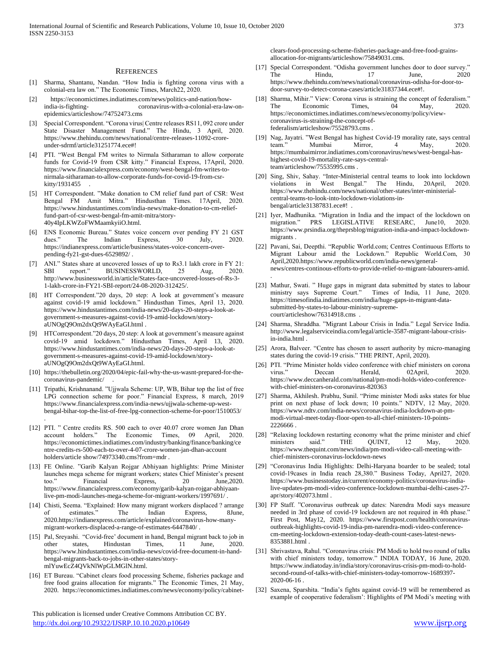#### **REFERENCES**

- [1] Sharma, Shantanu, Nandan. "How India is fighting corona virus with a colonial-era law on." The Economic Times, March22, 2020.
- [2] https://economictimes.indiatimes.com/news/politics-and-nation/howindia-is-fighting- coronavirus-with-a-colonial-era-law-onepidemics/articleshow/74752473.cms
- [3] Special Correspondent. "Corona virus| Centre releases RS11, 092 crore under State Disaster Management Fund." The Hindu, 3 April, 2020. https://www.thehindu.com/news/national/centre-releases-11092-croreunder-sdrmf/article31251774.ece#!
- [4] PTI. "West Bengal FM writes to Nirmala Sitharaman to allow corporate funds for Covid-19 from CSR kitty." Financial Express, 17April, 2020. https://www.financialexpress.com/economy/west-bengal-fm-writes-tonirmala-sitharaman-to-allow-corporate-funds-for-covid-19-from-csrkitty/1931455 .
- [5] HT Correspondent. "Make donation to CM relief fund part of CSR: West Bengal FM Amit Mitra." Hindusthan Times. 17April, 2020. https://www.hindustantimes.com/india-news/make-donation-to-cm-relieffund-part-of-csr-west-bengal-fm-amit-mitra/story-40y4IpLKWZoFWMaamkyiiO.html.
- [6] ENS Economic Bureau." States voice concern over pending FY 21 GST The Indian Express, 30 July, 2020. https://indianexpress.com/article/business/states-voice-concern-overpending-fy21-gst-dues-6529892/ .
- [7] ANI." States share at uncovered losses of up to Rs3.1 lakh crore in FY 21: SBI report." BUSINESSWORLD, 25 Aug, 2020. http://www.businessworld.in/article/States-face-uncovered-losses-of-Rs-3- 1-lakh-crore-in-FY21-SBI-report/24-08-2020-312425/.
- [8] HT Correspondent."20 days, 20 step: A look at government's measure against covid-19 amid lockdown." Hindusthan Times, April 13, 2020. https://www.hindustantimes.com/india-news/20-days-20-steps-a-look-atgovernment-s-measures-against-covid-19-amid-lockdown/storyaUNOgQ9Om2dxQt9WAyEaGI.html .
- [9] HTCorrespondent."20 days, 20 step: A look at government's measure against covid-19 amid lockdown." Hindusthan Times, April 13, 2020. https://www.hindustantimes.com/india-news/20-days-20-steps-a-look-atgovernment-s-measures-against-covid-19-amid-lockdown/storyaUNOgQ9Om2dxQt9WAyEaGI.html.
- [10] https://thebulletin.org/2020/04/epic-fail-why-the-us-wasnt-prepared-for-thecoronavirus-pandemic/ .
- [11] Tripathi, Krishnanand. "Ujjwala Scheme: UP, WB, Bihar top the list of free LPG connection scheme for poor." Financial Express, 8 march, 2019 https://www.financialexpress.com/india-news/ujjwala-scheme-up-westbengal-bihar-top-the-list-of-free-lpg-connection-scheme-for-poor/1510053/

.

- [12] PTI. " Centre credits RS. 500 each to over 40.07 crore women Jan Dhan The Economic Times, 09 April, 2020. https://economictimes.indiatimes.com/industry/banking/finance/banking/ce ntre-credits-rs-500-each-to-over-4-07-crore-women-jan-dhan-account holders/article show/74973340.cms?from=mdr .
- [13] FE Online. "Garib Kalyan Rojgar Abhiyaan highlights: Prime Minister launches mega scheme for migrant workers; states Chief Minister's present Financial Express, 20 June, 2020. https://www.financialexpress.com/economy/garib-kalyan-rojgar-abhiyaanlive-pm-modi-launches-mega-scheme-for-migrant-workers/1997691/ .
- [14] Chisti, Seema. "Explained: How many migrant workers displaced ? arrange of estimates." The Indian Express, 8June, 2020.https://indianexpress.com/article/explained/coronavirus-how-manymigrant-workers-displaced-a-range-of-estimates-6447840/ .
- [15] Pal, Sreyashi. "Covid-free' document in hand, Bengal migrant back to job in other states, Hindustan Times, 11 June, 2020. https://www.hindustantimes.com/india-news/covid-free-document-in-handbengal-migrants-back-to-jobs-in-other-states/storymlYuwEcZ4QVkNlWpGLMGlN.html.
- [16] ET Bureau. "Cabinet clears food processing Scheme, fisheries package and free food grains allocation for migrants." The Economic Times, 21 May, 2020. https://economictimes.indiatimes.com/news/economy/policy/cabinet-

 This publication is licensed under Creative Commons Attribution CC BY. <http://dx.doi.org/10.29322/IJSRP.10.10.2020.p10649> [www.ijsrp.org](http://ijsrp.org/)

clears-food-processing-scheme-fisheries-package-and-free-food-grainsallocation-for-migrants/articleshow/75849031.cms.

- [17] Special Correspondent. "Odisha government lunches door to door survey." The Hindu, 17 June, 2020 https://www.thehindu.com/news/national/coronavirus-odisha-for-door-todoor-survey-to-detect-corona-cases/article31837344.ece#!.
- [18] Sharma, Mihir." View: Corona virus is straining the concept of federalism." The Economic Times, 04 May, 2020. https://economictimes.indiatimes.com/news/economy/policy/viewcoronavirus-is-straining-the-concept-offederalism/articleshow/75528793.cms .
- [19] Nag, Jayatri. "West Bengal has highest Covid-19 morality rate, says central Mumbai Mirror, 4 May, 2020. https://mumbaimirror.indiatimes.com/coronavirus/news/west-bengal-hashighest-covid-19-mortality-rate-says-centralteam/articleshow/75535995.cms .
- [20] Sing, Shiv, Sahay. "Inter-Ministerial central teams to look into lockdown violations in West Bengal." The Hindu, 20April, 2020. https://www.thehindu.com/news/national/other-states/inter-ministerialcentral-teams-to-look-into-lockdown-violations-inbengal/article31387831.ece#! .
- [21] Iyer, Madhunika. "Migration in India and the impact of the lockdown on migration." PRS LEGISLATIVE RESEARC, June10, 2020. https://www.prsindia.org/theprsblog/migration-india-and-impact-lockdownmigrants .
- [22] Pavani, Sai, Deepthi. "Republic World.com; Centres Continuous Efforts to Migrant Labour amid the Lockdown." Republic World.Com, 30 April,2020.https://www.republicworld.com/india-news/generalnews/centres-continous-efforts-to-provide-relief-to-migrant-labourers-amid. .
- [23] Mathur, Swati. " Huge gaps in migrant data submitted by states to labour ministry says Supreme Court." Times of India, 11 June, 2020. https://timesofindia.indiatimes.com/india/huge-gaps-in-migrant-datasubmitted-by-states-to-labour-ministry-supremecourt/articleshow/76314918.cms .
- [24] Sharma, Shraddha. "Migrant Labour Crisis in India." Legal Service India. http://www.legalserviceindia.com/legal/article-3587-migrant-labour-crisisin-india.html .
- [25] Arora, Balveer. "Centre has chosen to assert authority by micro-managing states during the covid-19 crisis." THE PRINT, April, 2020).
- [26] PTI. "Prime Minister holds video conference with chief ministers on corona virus." Deccan Herald, 02April, 2020. https://www.deccanherald.com/national/pm-modi-holds-video-conferencewith-chief-ministers-on-coronavirus-820363
- [27] Sharma, Akhilesh. Prabhu, Sunil. "Prime minister Modi asks states for blue print on next phase of lock down; 10 points." NDTV, 12 May, 2020. https://www.ndtv.com/india-news/coronavirus-india-lockdown-at-pmmodi-virtual-meet-today-floor-open-to-all-chief-ministers-10-points-2226666 .
- [28] "Relaxing lockdown restarting economy what the prime minister and chief<br>ministers said." THE OUINT. 12 May. 2020. ministers said." THE QUINT, 12 May, 2020. https://www.thequint.com/news/india/pm-modi-video-call-meeting-withchief-ministers-coronavirus-lockdown-news
- [29] "Coronavirus India Highlights: Delhi-Haryana boarder to be sealed; total covid-19cases in India reach 28,380." Business Today, April27, 2020. https://www.businesstoday.in/current/economy-politics/coronavirus-indialive-updates-pm-modi-video-conference-lockdown-mumbai-delhi-cases-27 apr/story/402073.html .
- [30] FP Staff. "Coronavirus outbreak up dates: Narendra Modi says measure needed in 3rd phase of covid-19 lockdown are not required in 4th phase." First Post, May12, 2020. https://www.firstpost.com/health/coronavirusoutbreak-highlights-covid-19-india-pm-narendra-modi-video-conferencecm-meeting-lockdown-extension-today-death-count-cases-latest-news-8353881.html .
- [31] Shrivastava, Rahul. "Coronavirus crisis: PM Modi to hold two round of talks with chief ministers today, tomorrow." INDIA TODAY, 16 June, 2020. https://www.indiatoday.in/india/story/coronavirus-crisis-pm-modi-to-holdsecond-round-of-talks-with-chief-ministers-today-tomorrow-1689397- 2020-06-16 .
- [32] Saxena, Sparshita. "India's fights against covid-19 will be remembered as example of cooperative federalism': Highlights of PM Modi's meeting with